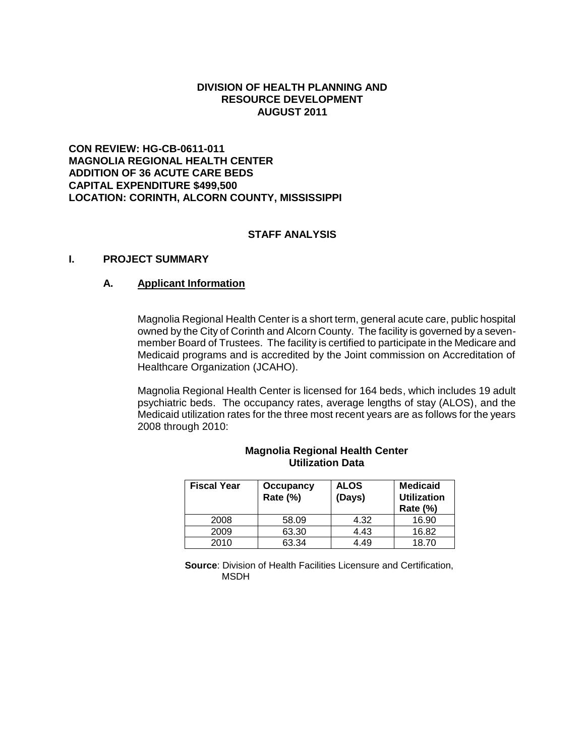## **DIVISION OF HEALTH PLANNING AND RESOURCE DEVELOPMENT AUGUST 2011**

# **CON REVIEW: HG-CB-0611-011 MAGNOLIA REGIONAL HEALTH CENTER ADDITION OF 36 ACUTE CARE BEDS CAPITAL EXPENDITURE \$499,500 LOCATION: CORINTH, ALCORN COUNTY, MISSISSIPPI**

# **STAFF ANALYSIS**

## **I. PROJECT SUMMARY**

## **A. Applicant Information**

Magnolia Regional Health Center is a short term, general acute care, public hospital owned by the City of Corinth and Alcorn County. The facility is governed by a sevenmember Board of Trustees. The facility is certified to participate in the Medicare and Medicaid programs and is accredited by the Joint commission on Accreditation of Healthcare Organization (JCAHO).

Magnolia Regional Health Center is licensed for 164 beds, which includes 19 adult psychiatric beds. The occupancy rates, average lengths of stay (ALOS), and the Medicaid utilization rates for the three most recent years are as follows for the years 2008 through 2010:

| <b>Fiscal Year</b> | Occupancy<br>Rate (%) | <b>ALOS</b><br>(Days) | <b>Medicaid</b><br><b>Utilization</b><br><b>Rate (%)</b> |
|--------------------|-----------------------|-----------------------|----------------------------------------------------------|
| 2008               | 58.09                 | 4.32                  | 16.90                                                    |
| 2009               | 63.30                 | 4.43                  | 16.82                                                    |
| 2010               | 63.34                 | 4.49                  | 18.70                                                    |

#### **Magnolia Regional Health Center Utilization Data**

**Source**: Division of Health Facilities Licensure and Certification, MSDH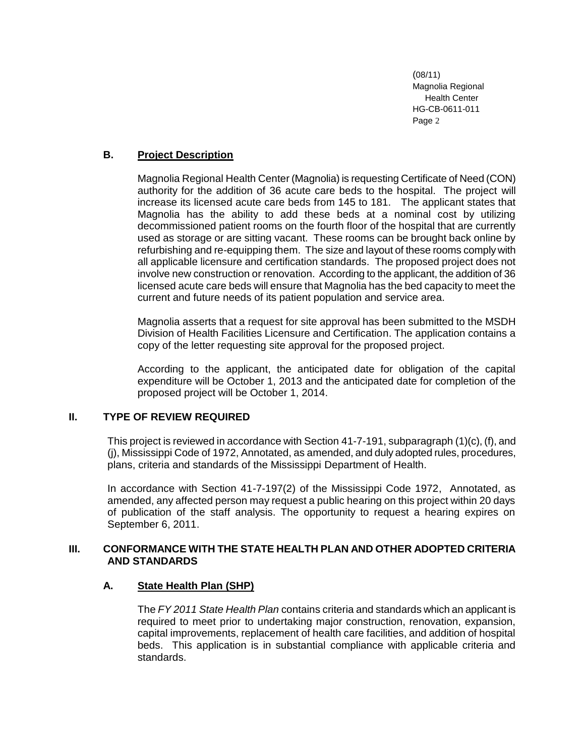# **B. Project Description**

Magnolia Regional Health Center (Magnolia) is requesting Certificate of Need (CON) authority for the addition of 36 acute care beds to the hospital. The project will increase its licensed acute care beds from 145 to 181. The applicant states that Magnolia has the ability to add these beds at a nominal cost by utilizing decommissioned patient rooms on the fourth floor of the hospital that are currently used as storage or are sitting vacant. These rooms can be brought back online by refurbishing and re-equipping them. The size and layout of these rooms comply with all applicable licensure and certification standards. The proposed project does not involve new construction or renovation. According to the applicant, the addition of 36 licensed acute care beds will ensure that Magnolia has the bed capacity to meet the current and future needs of its patient population and service area.

Magnolia asserts that a request for site approval has been submitted to the MSDH Division of Health Facilities Licensure and Certification. The application contains a copy of the letter requesting site approval for the proposed project.

According to the applicant, the anticipated date for obligation of the capital expenditure will be October 1, 2013 and the anticipated date for completion of the proposed project will be October 1, 2014.

### **II. TYPE OF REVIEW REQUIRED**

This project is reviewed in accordance with Section 41-7-191, subparagraph (1)(c), (f), and (j), Mississippi Code of 1972, Annotated, as amended, and duly adopted rules, procedures, plans, criteria and standards of the Mississippi Department of Health.

In accordance with Section 41-7-197(2) of the Mississippi Code 1972, Annotated, as amended, any affected person may request a public hearing on this project within 20 days of publication of the staff analysis. The opportunity to request a hearing expires on September 6, 2011.

# **III. CONFORMANCE WITH THE STATE HEALTH PLAN AND OTHER ADOPTED CRITERIA AND STANDARDS**

# **A. State Health Plan (SHP)**

The *FY 2011 State Health Plan* contains criteria and standards which an applicant is required to meet prior to undertaking major construction, renovation, expansion, capital improvements, replacement of health care facilities, and addition of hospital beds. This application is in substantial compliance with applicable criteria and standards.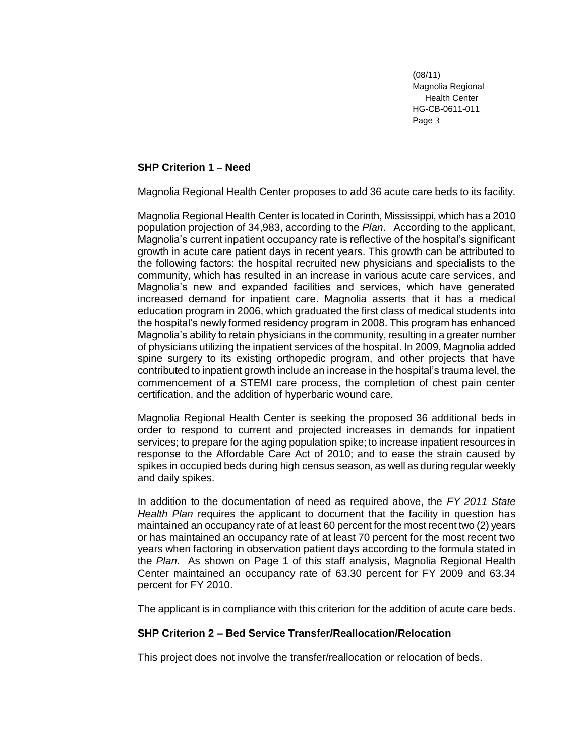## **SHP Criterion 1 – Need**

Magnolia Regional Health Center proposes to add 36 acute care beds to its facility.

Magnolia Regional Health Center is located in Corinth, Mississippi, which has a 2010 population projection of 34,983, according to the *Plan*. According to the applicant, Magnolia's current inpatient occupancy rate is reflective of the hospital's significant growth in acute care patient days in recent years. This growth can be attributed to the following factors: the hospital recruited new physicians and specialists to the community, which has resulted in an increase in various acute care services, and Magnolia's new and expanded facilities and services, which have generated increased demand for inpatient care. Magnolia asserts that it has a medical education program in 2006, which graduated the first class of medical students into the hospital's newly formed residency program in 2008. This program has enhanced Magnolia's ability to retain physicians in the community, resulting in a greater number of physicians utilizing the inpatient services of the hospital. In 2009, Magnolia added spine surgery to its existing orthopedic program, and other projects that have contributed to inpatient growth include an increase in the hospital's trauma level, the commencement of a STEMI care process, the completion of chest pain center certification, and the addition of hyperbaric wound care.

Magnolia Regional Health Center is seeking the proposed 36 additional beds in order to respond to current and projected increases in demands for inpatient services; to prepare for the aging population spike; to increase inpatient resources in response to the Affordable Care Act of 2010; and to ease the strain caused by spikes in occupied beds during high census season, as well as during regular weekly and daily spikes.

In addition to the documentation of need as required above, the *FY 2011 State Health Plan* requires the applicant to document that the facility in question has maintained an occupancy rate of at least 60 percent for the most recent two (2) years or has maintained an occupancy rate of at least 70 percent for the most recent two years when factoring in observation patient days according to the formula stated in the *Plan*. As shown on Page 1 of this staff analysis, Magnolia Regional Health Center maintained an occupancy rate of 63.30 percent for FY 2009 and 63.34 percent for FY 2010.

The applicant is in compliance with this criterion for the addition of acute care beds.

### **SHP Criterion 2 – Bed Service Transfer/Reallocation/Relocation**

This project does not involve the transfer/reallocation or relocation of beds.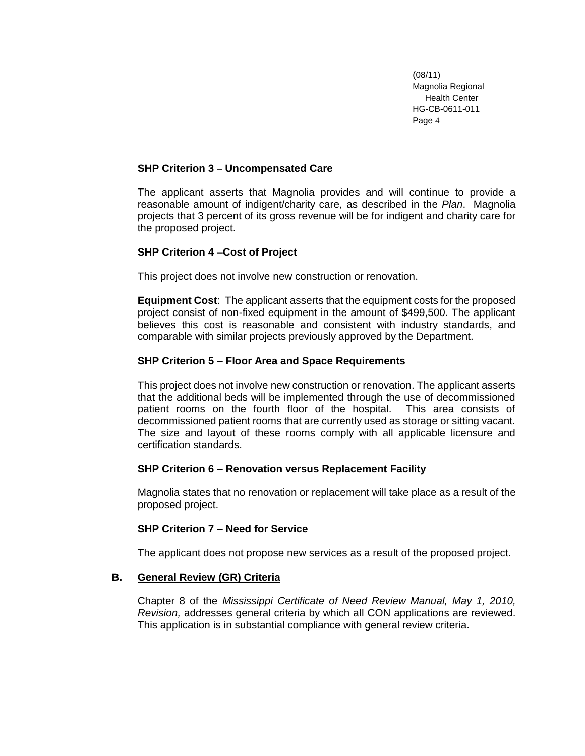## **SHP Criterion 3 – Uncompensated Care**

The applicant asserts that Magnolia provides and will continue to provide a reasonable amount of indigent/charity care, as described in the *Plan*. Magnolia projects that 3 percent of its gross revenue will be for indigent and charity care for the proposed project.

# **SHP Criterion 4 –Cost of Project**

This project does not involve new construction or renovation.

**Equipment Cost**: The applicant asserts that the equipment costs for the proposed project consist of non-fixed equipment in the amount of \$499,500. The applicant believes this cost is reasonable and consistent with industry standards, and comparable with similar projects previously approved by the Department.

# **SHP Criterion 5 – Floor Area and Space Requirements**

This project does not involve new construction or renovation. The applicant asserts that the additional beds will be implemented through the use of decommissioned patient rooms on the fourth floor of the hospital. This area consists of decommissioned patient rooms that are currently used as storage or sitting vacant. The size and layout of these rooms comply with all applicable licensure and certification standards.

### **SHP Criterion 6 – Renovation versus Replacement Facility**

Magnolia states that no renovation or replacement will take place as a result of the proposed project.

### **SHP Criterion 7 – Need for Service**

The applicant does not propose new services as a result of the proposed project.

### **B. General Review (GR) Criteria**

Chapter 8 of the *Mississippi Certificate of Need Review Manual, May 1, 2010, Revision,* addresses general criteria by which all CON applications are reviewed. This application is in substantial compliance with general review criteria.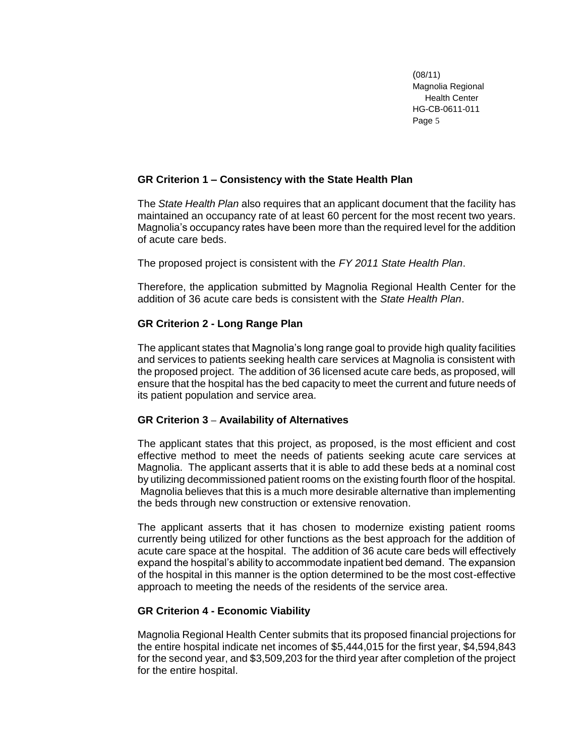## **GR Criterion 1 – Consistency with the State Health Plan**

The *State Health Plan* also requires that an applicant document that the facility has maintained an occupancy rate of at least 60 percent for the most recent two years. Magnolia's occupancy rates have been more than the required level for the addition of acute care beds.

The proposed project is consistent with the *FY 2011 State Health Plan*.

Therefore, the application submitted by Magnolia Regional Health Center for the addition of 36 acute care beds is consistent with the *State Health Plan*.

# **GR Criterion 2 - Long Range Plan**

The applicant states that Magnolia's long range goal to provide high quality facilities and services to patients seeking health care services at Magnolia is consistent with the proposed project. The addition of 36 licensed acute care beds, as proposed, will ensure that the hospital has the bed capacity to meet the current and future needs of its patient population and service area.

# **GR Criterion 3 – Availability of Alternatives**

The applicant states that this project, as proposed, is the most efficient and cost effective method to meet the needs of patients seeking acute care services at Magnolia. The applicant asserts that it is able to add these beds at a nominal cost by utilizing decommissioned patient rooms on the existing fourth floor of the hospital. Magnolia believes that this is a much more desirable alternative than implementing the beds through new construction or extensive renovation.

The applicant asserts that it has chosen to modernize existing patient rooms currently being utilized for other functions as the best approach for the addition of acute care space at the hospital. The addition of 36 acute care beds will effectively expand the hospital's ability to accommodate inpatient bed demand. The expansion of the hospital in this manner is the option determined to be the most cost-effective approach to meeting the needs of the residents of the service area.

# **GR Criterion 4 - Economic Viability**

Magnolia Regional Health Center submits that its proposed financial projections for the entire hospital indicate net incomes of \$5,444,015 for the first year, \$4,594,843 for the second year, and \$3,509,203 for the third year after completion of the project for the entire hospital.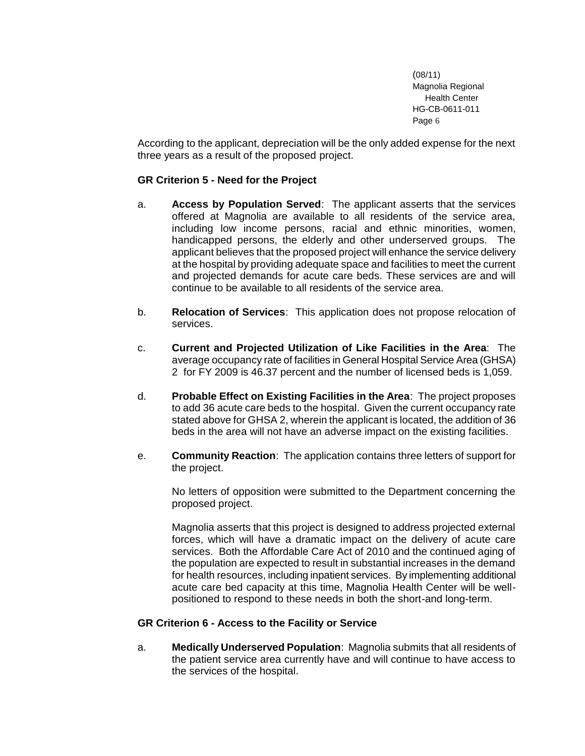According to the applicant, depreciation will be the only added expense for the next three years as a result of the proposed project.

# **GR Criterion 5 - Need for the Project**

- a. **Access by Population Served**: The applicant asserts that the services offered at Magnolia are available to all residents of the service area, including low income persons, racial and ethnic minorities, women, handicapped persons, the elderly and other underserved groups. The applicant believes that the proposed project will enhance the service delivery at the hospital by providing adequate space and facilities to meet the current and projected demands for acute care beds. These services are and will continue to be available to all residents of the service area.
- b. **Relocation of Services**: This application does not propose relocation of services.
- c. **Current and Projected Utilization of Like Facilities in the Area**: The average occupancy rate of facilities in General Hospital Service Area (GHSA) 2 for FY 2009 is 46.37 percent and the number of licensed beds is 1,059.
- d. **Probable Effect on Existing Facilities in the Area**: The project proposes to add 36 acute care beds to the hospital. Given the current occupancy rate stated above for GHSA 2, wherein the applicant is located, the addition of 36 beds in the area will not have an adverse impact on the existing facilities.
- e. **Community Reaction**: The application contains three letters of support for the project.

No letters of opposition were submitted to the Department concerning the proposed project.

Magnolia asserts that this project is designed to address projected external forces, which will have a dramatic impact on the delivery of acute care services. Both the Affordable Care Act of 2010 and the continued aging of the population are expected to result in substantial increases in the demand for health resources, including inpatient services. By implementing additional acute care bed capacity at this time, Magnolia Health Center will be wellpositioned to respond to these needs in both the short-and long-term.

### **GR Criterion 6 - Access to the Facility or Service**

a. **Medically Underserved Population**: Magnolia submits that all residents of the patient service area currently have and will continue to have access to the services of the hospital.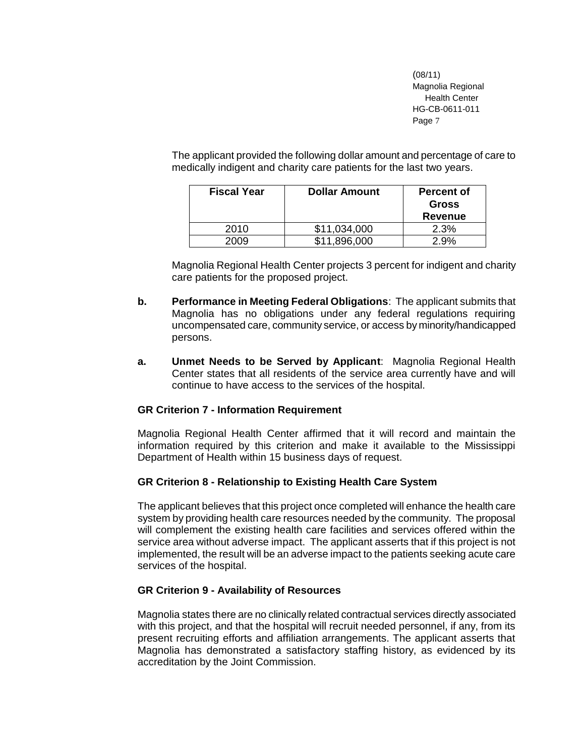The applicant provided the following dollar amount and percentage of care to medically indigent and charity care patients for the last two years.

| <b>Fiscal Year</b> | <b>Dollar Amount</b> | <b>Percent of</b><br><b>Gross</b><br>Revenue |
|--------------------|----------------------|----------------------------------------------|
| 2010               | \$11,034,000         | 2.3%                                         |
| 2009               | \$11,896,000         | 2.9%                                         |

Magnolia Regional Health Center projects 3 percent for indigent and charity care patients for the proposed project.

- **b. Performance in Meeting Federal Obligations**: The applicant submits that Magnolia has no obligations under any federal regulations requiring uncompensated care, community service, or access by minority/handicapped persons.
- **a. Unmet Needs to be Served by Applicant**: Magnolia Regional Health Center states that all residents of the service area currently have and will continue to have access to the services of the hospital.

# **GR Criterion 7 - Information Requirement**

Magnolia Regional Health Center affirmed that it will record and maintain the information required by this criterion and make it available to the Mississippi Department of Health within 15 business days of request.

### **GR Criterion 8 - Relationship to Existing Health Care System**

The applicant believes that this project once completed will enhance the health care system by providing health care resources needed by the community. The proposal will complement the existing health care facilities and services offered within the service area without adverse impact. The applicant asserts that if this project is not implemented, the result will be an adverse impact to the patients seeking acute care services of the hospital.

# **GR Criterion 9 - Availability of Resources**

Magnolia states there are no clinically related contractual services directly associated with this project, and that the hospital will recruit needed personnel, if any, from its present recruiting efforts and affiliation arrangements. The applicant asserts that Magnolia has demonstrated a satisfactory staffing history, as evidenced by its accreditation by the Joint Commission.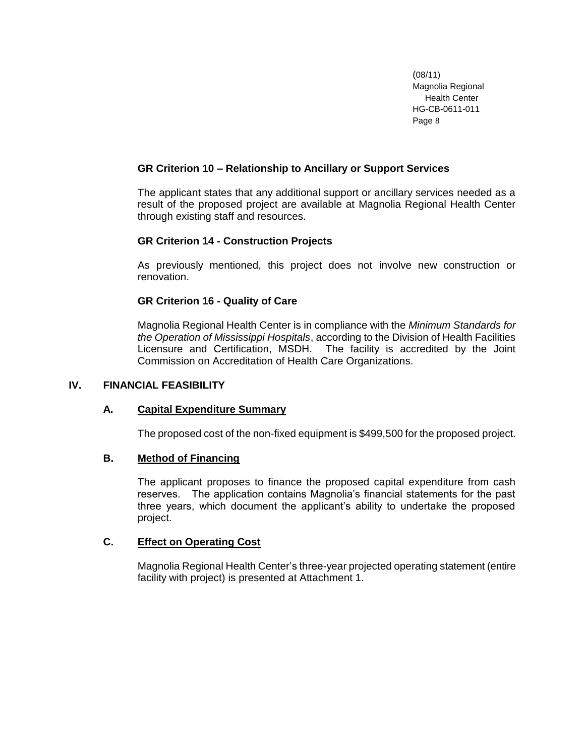# **GR Criterion 10 – Relationship to Ancillary or Support Services**

The applicant states that any additional support or ancillary services needed as a result of the proposed project are available at Magnolia Regional Health Center through existing staff and resources.

# **GR Criterion 14 - Construction Projects**

As previously mentioned, this project does not involve new construction or renovation.

# **GR Criterion 16 - Quality of Care**

Magnolia Regional Health Center is in compliance with the *Minimum Standards for the Operation of Mississippi Hospitals*, according to the Division of Health Facilities Licensure and Certification, MSDH. The facility is accredited by the Joint Commission on Accreditation of Health Care Organizations.

# **IV. FINANCIAL FEASIBILITY**

### **A. Capital Expenditure Summary**

The proposed cost of the non-fixed equipment is \$499,500 for the proposed project.

# **B. Method of Financing**

The applicant proposes to finance the proposed capital expenditure from cash reserves. The application contains Magnolia's financial statements for the past three years, which document the applicant's ability to undertake the proposed project.

# **C. Effect on Operating Cost**

Magnolia Regional Health Center's three-year projected operating statement (entire facility with project) is presented at Attachment 1.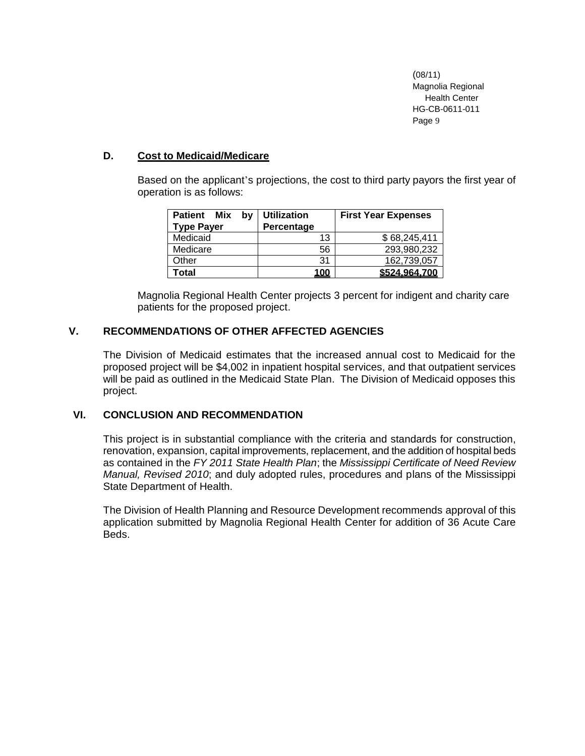## **D. Cost to Medicaid/Medicare**

Based on the applicant's projections, the cost to third party payors the first year of operation is as follows:

| <b>Patient</b><br>Mix<br>bv<br><b>Type Payer</b> | <b>Utilization</b><br>Percentage | <b>First Year Expenses</b> |
|--------------------------------------------------|----------------------------------|----------------------------|
| Medicaid                                         | 13                               | \$68,245,411               |
| Medicare                                         | 56                               | 293,980,232                |
| Other                                            | 31                               | 162,739,057                |
| Total                                            | <u> 100</u>                      | \$524.964.700              |

Magnolia Regional Health Center projects 3 percent for indigent and charity care patients for the proposed project.

# **V. RECOMMENDATIONS OF OTHER AFFECTED AGENCIES**

The Division of Medicaid estimates that the increased annual cost to Medicaid for the proposed project will be \$4,002 in inpatient hospital services, and that outpatient services will be paid as outlined in the Medicaid State Plan. The Division of Medicaid opposes this project.

## **VI. CONCLUSION AND RECOMMENDATION**

This project is in substantial compliance with the criteria and standards for construction, renovation, expansion, capital improvements, replacement, and the addition of hospital beds as contained in the *FY 2011 State Health Plan*; the *Mississippi Certificate of Need Review Manual, Revised 2010*; and duly adopted rules, procedures and plans of the Mississippi State Department of Health.

The Division of Health Planning and Resource Development recommends approval of this application submitted by Magnolia Regional Health Center for addition of 36 Acute Care Beds.